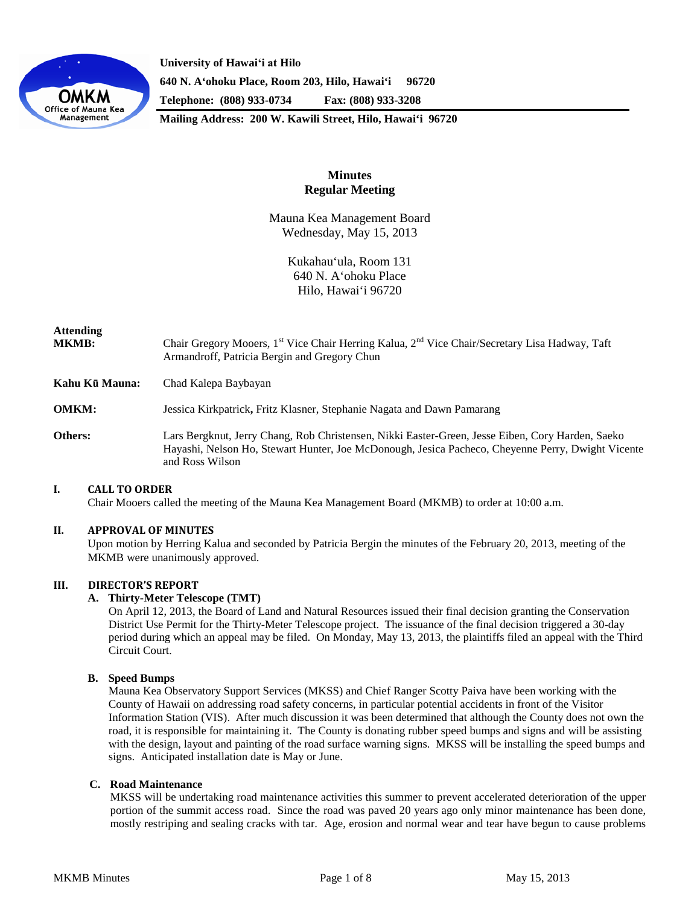

**University of Hawaiʻi at Hilo 640 N. A'ohoku Place, Room 203, Hilo, Hawai'i 96720 Telephone: (808) 933-0734 Fax: (808) 933-3208**

**Mailing Address: 200 W. Kawili Street, Hilo, Hawai'i 96720**

## **Minutes Regular Meeting**

Mauna Kea Management Board Wednesday, May 15, 2013

> Kukahau'ula, Room 131 640 N. A'ohoku Place Hilo, Hawai'i 96720

# **Attending MKMB:** Chair Gregory Mooers, 1<sup>st</sup> Vice Chair Herring Kalua, 2<sup>nd</sup> Vice Chair/Secretary Lisa Hadway, Taft Armandroff, Patricia Bergin and Gregory Chun **Kahu Kū Mauna:** Chad Kalepa Baybayan **OMKM:** Jessica Kirkpatrick**,** Fritz Klasner, Stephanie Nagata and Dawn Pamarang **Others:** Lars Bergknut, Jerry Chang, Rob Christensen, Nikki Easter-Green, Jesse Eiben, Cory Harden, Saeko Hayashi, Nelson Ho, Stewart Hunter, Joe McDonough, Jesica Pacheco, Cheyenne Perry, Dwight Vicente and Ross Wilson

## **I. CALL TO ORDER**

Chair Mooers called the meeting of the Mauna Kea Management Board (MKMB) to order at 10:00 a.m.

## **II. APPROVAL OF MINUTES**

Upon motion by Herring Kalua and seconded by Patricia Bergin the minutes of the February 20, 2013, meeting of the MKMB were unanimously approved.

## **III. DIRECTOR'S REPORT**

#### **A. Thirty-Meter Telescope (TMT)**

On April 12, 2013, the Board of Land and Natural Resources issued their final decision granting the Conservation District Use Permit for the Thirty-Meter Telescope project. The issuance of the final decision triggered a 30-day period during which an appeal may be filed. On Monday, May 13, 2013, the plaintiffs filed an appeal with the Third Circuit Court.

#### **B. Speed Bumps**

Mauna Kea Observatory Support Services (MKSS) and Chief Ranger Scotty Paiva have been working with the County of Hawaii on addressing road safety concerns, in particular potential accidents in front of the Visitor Information Station (VIS). After much discussion it was been determined that although the County does not own the road, it is responsible for maintaining it. The County is donating rubber speed bumps and signs and will be assisting with the design, layout and painting of the road surface warning signs. MKSS will be installing the speed bumps and signs. Anticipated installation date is May or June.

## **C. Road Maintenance**

MKSS will be undertaking road maintenance activities this summer to prevent accelerated deterioration of the upper portion of the summit access road. Since the road was paved 20 years ago only minor maintenance has been done, mostly restriping and sealing cracks with tar. Age, erosion and normal wear and tear have begun to cause problems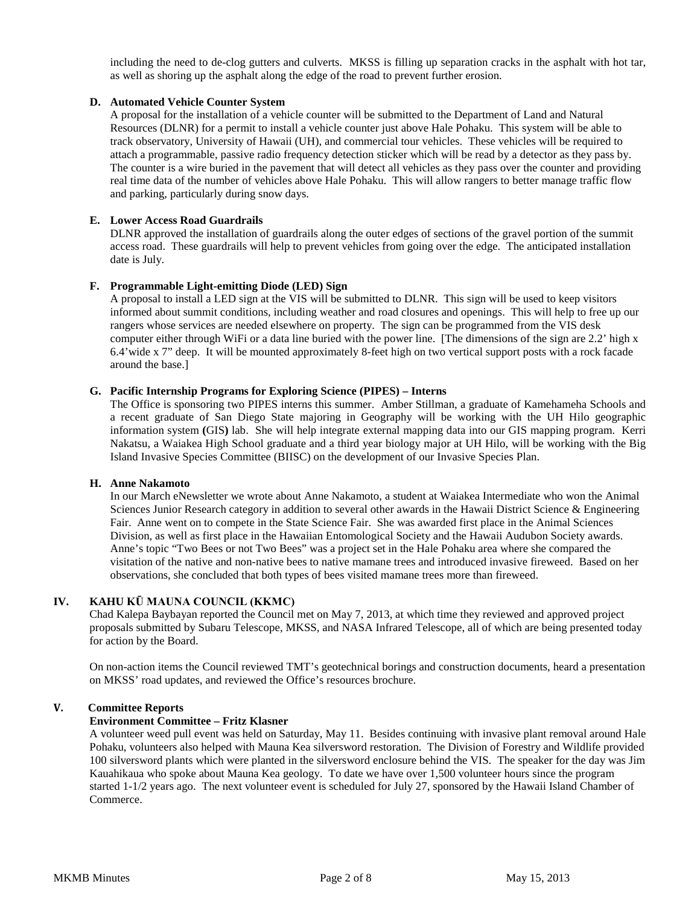including the need to de-clog gutters and culverts. MKSS is filling up separation cracks in the asphalt with hot tar, as well as shoring up the asphalt along the edge of the road to prevent further erosion.

## **D. Automated Vehicle Counter System**

A proposal for the installation of a vehicle counter will be submitted to the Department of Land and Natural Resources (DLNR) for a permit to install a vehicle counter just above Hale Pohaku. This system will be able to track observatory, University of Hawaii (UH), and commercial tour vehicles. These vehicles will be required to attach a programmable, passive radio frequency detection sticker which will be read by a detector as they pass by. The counter is a wire buried in the pavement that will detect all vehicles as they pass over the counter and providing real time data of the number of vehicles above Hale Pohaku. This will allow rangers to better manage traffic flow and parking, particularly during snow days.

## **E. Lower Access Road Guardrails**

DLNR approved the installation of guardrails along the outer edges of sections of the gravel portion of the summit access road. These guardrails will help to prevent vehicles from going over the edge. The anticipated installation date is July.

## **F. Programmable Light-emitting Diode (LED) Sign**

A proposal to install a LED sign at the VIS will be submitted to DLNR. This sign will be used to keep visitors informed about summit conditions, including weather and road closures and openings. This will help to free up our rangers whose services are needed elsewhere on property. The sign can be programmed from the VIS desk computer either through WiFi or a data line buried with the power line. [The dimensions of the sign are 2.2' high x 6.4'wide x 7" deep. It will be mounted approximately 8-feet high on two vertical support posts with a rock facade around the base.]

## **G. Pacific Internship Programs for Exploring Science (PIPES) – Interns**

The Office is sponsoring two PIPES interns this summer. Amber Stillman, a graduate of Kamehameha Schools and a recent graduate of San Diego State majoring in Geography will be working with the UH Hilo geographic information system **(**GIS**)** lab. She will help integrate external mapping data into our GIS mapping program. Kerri Nakatsu, a Waiakea High School graduate and a third year biology major at UH Hilo, will be working with the Big Island Invasive Species Committee (BIISC) on the development of our Invasive Species Plan.

#### **H. Anne Nakamoto**

In our March eNewsletter we wrote about Anne Nakamoto, a student at Waiakea Intermediate who won the Animal Sciences Junior Research category in addition to several other awards in the Hawaii District Science & Engineering Fair. Anne went on to compete in the State Science Fair. She was awarded first place in the Animal Sciences Division, as well as first place in the Hawaiian Entomological Society and the Hawaii Audubon Society awards. Anne's topic "Two Bees or not Two Bees" was a project set in the Hale Pohaku area where she compared the visitation of the native and non-native bees to native mamane trees and introduced invasive fireweed. Based on her observations, she concluded that both types of bees visited mamane trees more than fireweed.

## **IV. KAHU KŪ MAUNA COUNCIL (KKMC)**

Chad Kalepa Baybayan reported the Council met on May 7, 2013, at which time they reviewed and approved project proposals submitted by Subaru Telescope, MKSS, and NASA Infrared Telescope, all of which are being presented today for action by the Board.

On non-action items the Council reviewed TMT's geotechnical borings and construction documents, heard a presentation on MKSS' road updates, and reviewed the Office's resources brochure.

#### **V. Committee Reports**

#### **Environment Committee – Fritz Klasner**

A volunteer weed pull event was held on Saturday, May 11. Besides continuing with invasive plant removal around Hale Pohaku, volunteers also helped with Mauna Kea silversword restoration. The Division of Forestry and Wildlife provided 100 silversword plants which were planted in the silversword enclosure behind the VIS. The speaker for the day was Jim Kauahikaua who spoke about Mauna Kea geology. To date we have over 1,500 volunteer hours since the program started 1-1/2 years ago. The next volunteer event is scheduled for July 27, sponsored by the Hawaii Island Chamber of Commerce.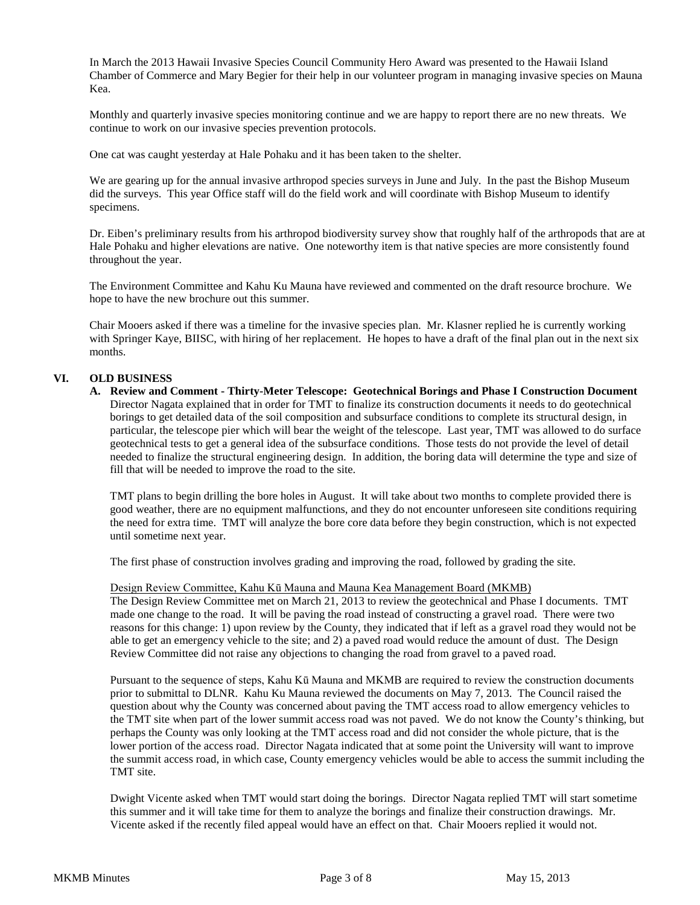In March the 2013 Hawaii Invasive Species Council Community Hero Award was presented to the Hawaii Island Chamber of Commerce and Mary Begier for their help in our volunteer program in managing invasive species on Mauna Kea.

Monthly and quarterly invasive species monitoring continue and we are happy to report there are no new threats. We continue to work on our invasive species prevention protocols.

One cat was caught yesterday at Hale Pohaku and it has been taken to the shelter.

We are gearing up for the annual invasive arthropod species surveys in June and July. In the past the Bishop Museum did the surveys. This year Office staff will do the field work and will coordinate with Bishop Museum to identify specimens.

Dr. Eiben's preliminary results from his arthropod biodiversity survey show that roughly half of the arthropods that are at Hale Pohaku and higher elevations are native. One noteworthy item is that native species are more consistently found throughout the year.

The Environment Committee and Kahu Ku Mauna have reviewed and commented on the draft resource brochure. We hope to have the new brochure out this summer.

Chair Mooers asked if there was a timeline for the invasive species plan. Mr. Klasner replied he is currently working with Springer Kaye, BIISC, with hiring of her replacement. He hopes to have a draft of the final plan out in the next six months.

## **VI. OLD BUSINESS**

**A. Review and Comment - Thirty-Meter Telescope: Geotechnical Borings and Phase I Construction Document** Director Nagata explained that in order for TMT to finalize its construction documents it needs to do geotechnical borings to get detailed data of the soil composition and subsurface conditions to complete its structural design, in particular, the telescope pier which will bear the weight of the telescope. Last year, TMT was allowed to do surface geotechnical tests to get a general idea of the subsurface conditions. Those tests do not provide the level of detail needed to finalize the structural engineering design. In addition, the boring data will determine the type and size of fill that will be needed to improve the road to the site.

TMT plans to begin drilling the bore holes in August. It will take about two months to complete provided there is good weather, there are no equipment malfunctions, and they do not encounter unforeseen site conditions requiring the need for extra time. TMT will analyze the bore core data before they begin construction, which is not expected until sometime next year.

The first phase of construction involves grading and improving the road, followed by grading the site.

#### Design Review Committee, Kahu Kū Mauna and Mauna Kea Management Board (MKMB)

The Design Review Committee met on March 21, 2013 to review the geotechnical and Phase I documents. TMT made one change to the road. It will be paving the road instead of constructing a gravel road. There were two reasons for this change: 1) upon review by the County, they indicated that if left as a gravel road they would not be able to get an emergency vehicle to the site; and 2) a paved road would reduce the amount of dust. The Design Review Committee did not raise any objections to changing the road from gravel to a paved road.

Pursuant to the sequence of steps, Kahu Kū Mauna and MKMB are required to review the construction documents prior to submittal to DLNR. Kahu Ku Mauna reviewed the documents on May 7, 2013. The Council raised the question about why the County was concerned about paving the TMT access road to allow emergency vehicles to the TMT site when part of the lower summit access road was not paved. We do not know the County's thinking, but perhaps the County was only looking at the TMT access road and did not consider the whole picture, that is the lower portion of the access road. Director Nagata indicated that at some point the University will want to improve the summit access road, in which case, County emergency vehicles would be able to access the summit including the TMT site.

Dwight Vicente asked when TMT would start doing the borings. Director Nagata replied TMT will start sometime this summer and it will take time for them to analyze the borings and finalize their construction drawings. Mr. Vicente asked if the recently filed appeal would have an effect on that. Chair Mooers replied it would not.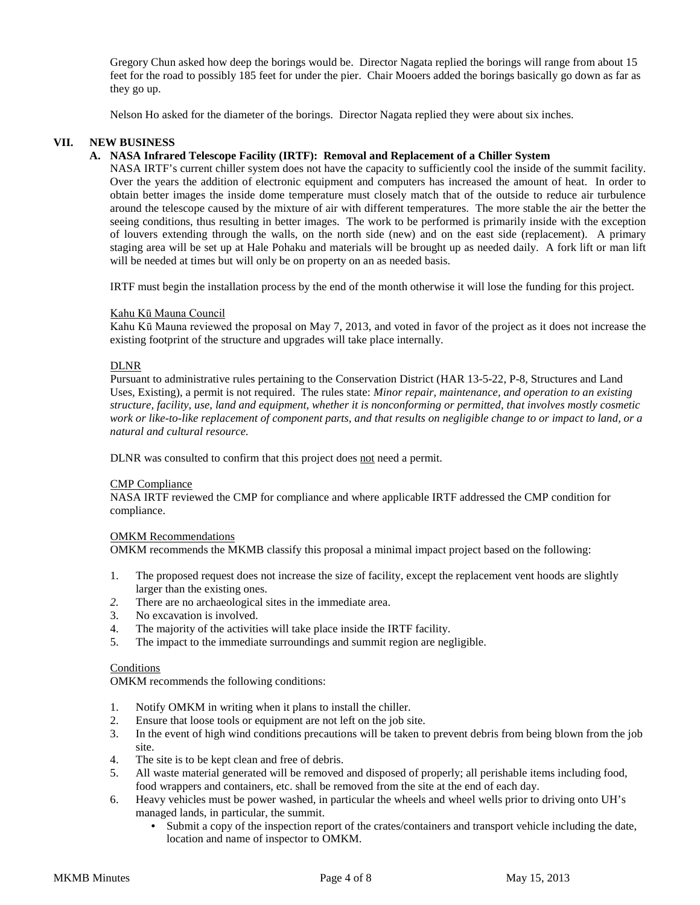Gregory Chun asked how deep the borings would be. Director Nagata replied the borings will range from about 15 feet for the road to possibly 185 feet for under the pier. Chair Mooers added the borings basically go down as far as they go up.

Nelson Ho asked for the diameter of the borings. Director Nagata replied they were about six inches.

## **VII. NEW BUSINESS**

## **A. NASA Infrared Telescope Facility (IRTF): Removal and Replacement of a Chiller System**

NASA IRTF's current chiller system does not have the capacity to sufficiently cool the inside of the summit facility. Over the years the addition of electronic equipment and computers has increased the amount of heat. In order to obtain better images the inside dome temperature must closely match that of the outside to reduce air turbulence around the telescope caused by the mixture of air with different temperatures. The more stable the air the better the seeing conditions, thus resulting in better images. The work to be performed is primarily inside with the exception of louvers extending through the walls, on the north side (new) and on the east side (replacement). A primary staging area will be set up at Hale Pohaku and materials will be brought up as needed daily. A fork lift or man lift will be needed at times but will only be on property on an as needed basis.

IRTF must begin the installation process by the end of the month otherwise it will lose the funding for this project.

#### Kahu Kū Mauna Council

Kahu Kū Mauna reviewed the proposal on May 7, 2013, and voted in favor of the project as it does not increase the existing footprint of the structure and upgrades will take place internally.

#### DLNR

Pursuant to administrative rules pertaining to the Conservation District (HAR 13-5-22, P-8, Structures and Land Uses, Existing), a permit is not required. The rules state: *Minor repair, maintenance, and operation to an existing structure, facility, use, land and equipment, whether it is nonconforming or permitted, that involves mostly cosmetic work or like-to-like replacement of component parts, and that results on negligible change to or impact to land, or a natural and cultural resource.*

DLNR was consulted to confirm that this project does not need a permit.

#### CMP Compliance

NASA IRTF reviewed the CMP for compliance and where applicable IRTF addressed the CMP condition for compliance.

#### OMKM Recommendations

OMKM recommends the MKMB classify this proposal a minimal impact project based on the following:

- 1. The proposed request does not increase the size of facility, except the replacement vent hoods are slightly larger than the existing ones.
- *2.* There are no archaeological sites in the immediate area.
- 3. No excavation is involved.
- 4. The majority of the activities will take place inside the IRTF facility.<br>5. The impact to the immediate surroundings and summit region are negotial
- The impact to the immediate surroundings and summit region are negligible.

#### Conditions

OMKM recommends the following conditions:

- 1. Notify OMKM in writing when it plans to install the chiller.
- 2. Ensure that loose tools or equipment are not left on the job site.
- 3. In the event of high wind conditions precautions will be taken to prevent debris from being blown from the job site.
- 4. The site is to be kept clean and free of debris.
- 5. All waste material generated will be removed and disposed of properly; all perishable items including food, food wrappers and containers, etc. shall be removed from the site at the end of each day.
- 6. Heavy vehicles must be power washed, in particular the wheels and wheel wells prior to driving onto UH's managed lands, in particular, the summit.
	- Submit a copy of the inspection report of the crates/containers and transport vehicle including the date, location and name of inspector to OMKM.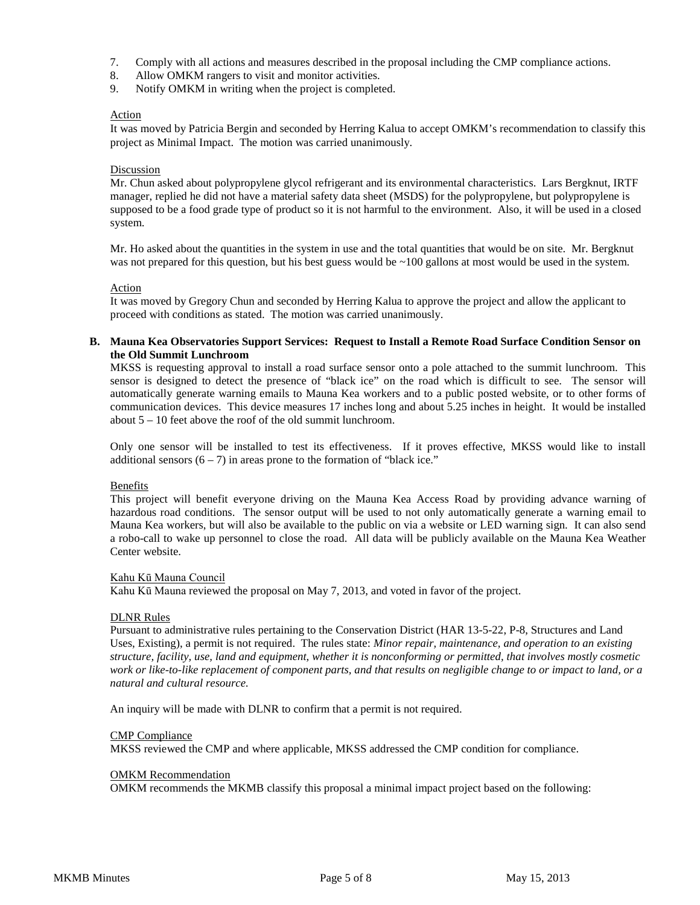- 7. Comply with all actions and measures described in the proposal including the CMP compliance actions.
- 8. Allow OMKM rangers to visit and monitor activities.
- 9. Notify OMKM in writing when the project is completed.

#### Action

It was moved by Patricia Bergin and seconded by Herring Kalua to accept OMKM's recommendation to classify this project as Minimal Impact. The motion was carried unanimously.

## **Discussion**

Mr. Chun asked about polypropylene glycol refrigerant and its environmental characteristics. Lars Bergknut, IRTF manager, replied he did not have a material safety data sheet (MSDS) for the polypropylene, but polypropylene is supposed to be a food grade type of product so it is not harmful to the environment. Also, it will be used in a closed system.

Mr. Ho asked about the quantities in the system in use and the total quantities that would be on site. Mr. Bergknut was not prepared for this question, but his best guess would be  $\sim$ 100 gallons at most would be used in the system.

#### Action

It was moved by Gregory Chun and seconded by Herring Kalua to approve the project and allow the applicant to proceed with conditions as stated. The motion was carried unanimously.

#### **B. Mauna Kea Observatories Support Services: Request to Install a Remote Road Surface Condition Sensor on the Old Summit Lunchroom**

MKSS is requesting approval to install a road surface sensor onto a pole attached to the summit lunchroom. This sensor is designed to detect the presence of "black ice" on the road which is difficult to see. The sensor will automatically generate warning emails to Mauna Kea workers and to a public posted website, or to other forms of communication devices. This device measures 17 inches long and about 5.25 inches in height. It would be installed about 5 – 10 feet above the roof of the old summit lunchroom.

Only one sensor will be installed to test its effectiveness. If it proves effective, MKSS would like to install additional sensors  $(6 - 7)$  in areas prone to the formation of "black ice."

#### Benefits

This project will benefit everyone driving on the Mauna Kea Access Road by providing advance warning of hazardous road conditions. The sensor output will be used to not only automatically generate a warning email to Mauna Kea workers, but will also be available to the public on via a website or LED warning sign. It can also send a robo-call to wake up personnel to close the road. All data will be publicly available on the Mauna Kea Weather Center website.

## Kahu Kū Mauna Council

Kahu Kū Mauna reviewed the proposal on May 7, 2013, and voted in favor of the project.

#### DLNR Rules

Pursuant to administrative rules pertaining to the Conservation District (HAR 13-5-22, P-8, Structures and Land Uses, Existing), a permit is not required. The rules state: *Minor repair, maintenance, and operation to an existing structure, facility, use, land and equipment, whether it is nonconforming or permitted, that involves mostly cosmetic work or like-to-like replacement of component parts, and that results on negligible change to or impact to land, or a natural and cultural resource.*

An inquiry will be made with DLNR to confirm that a permit is not required.

#### CMP Compliance

MKSS reviewed the CMP and where applicable, MKSS addressed the CMP condition for compliance.

#### OMKM Recommendation

OMKM recommends the MKMB classify this proposal a minimal impact project based on the following: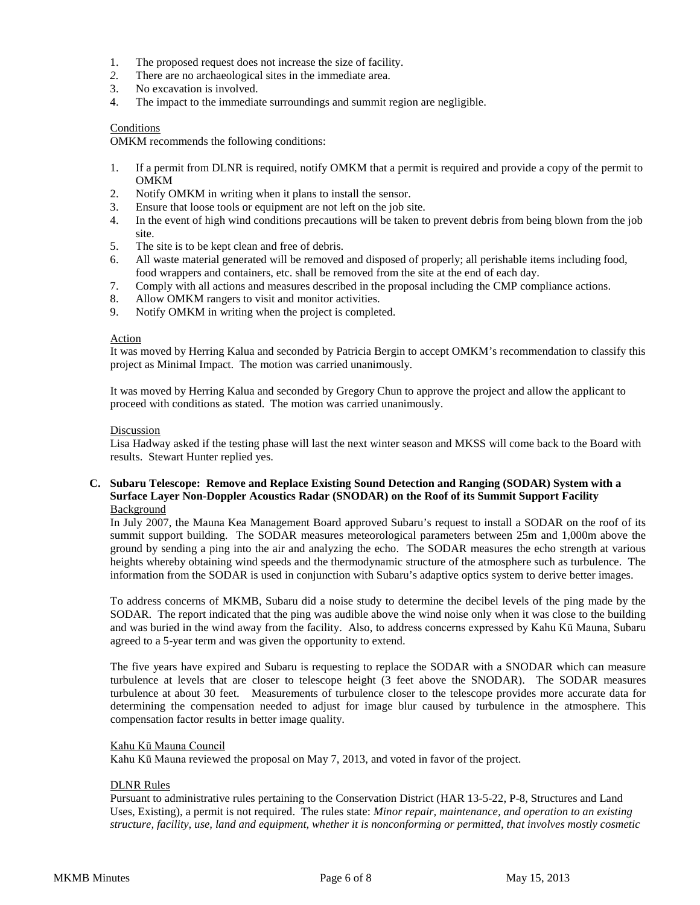- 1. The proposed request does not increase the size of facility.
- *2.* There are no archaeological sites in the immediate area.
- 3. No excavation is involved.<br>4. The impact to the immedia
- The impact to the immediate surroundings and summit region are negligible.

#### **Conditions**

OMKM recommends the following conditions:

- 1. If a permit from DLNR is required, notify OMKM that a permit is required and provide a copy of the permit to OMKM
- 2. Notify OMKM in writing when it plans to install the sensor.
- 3. Ensure that loose tools or equipment are not left on the job site.
- 4. In the event of high wind conditions precautions will be taken to prevent debris from being blown from the job site.
- 5. The site is to be kept clean and free of debris.
- 6. All waste material generated will be removed and disposed of properly; all perishable items including food, food wrappers and containers, etc. shall be removed from the site at the end of each day.
- 7. Comply with all actions and measures described in the proposal including the CMP compliance actions.
- 8. Allow OMKM rangers to visit and monitor activities.
- 9. Notify OMKM in writing when the project is completed.

## Action

It was moved by Herring Kalua and seconded by Patricia Bergin to accept OMKM's recommendation to classify this project as Minimal Impact. The motion was carried unanimously.

It was moved by Herring Kalua and seconded by Gregory Chun to approve the project and allow the applicant to proceed with conditions as stated. The motion was carried unanimously.

#### Discussion

Lisa Hadway asked if the testing phase will last the next winter season and MKSS will come back to the Board with results. Stewart Hunter replied yes.

## **C. Subaru Telescope: Remove and Replace Existing Sound Detection and Ranging (SODAR) System with a Surface Layer Non-Doppler Acoustics Radar (SNODAR) on the Roof of its Summit Support Facility** Background

In July 2007, the Mauna Kea Management Board approved Subaru's request to install a SODAR on the roof of its summit support building. The SODAR measures meteorological parameters between 25m and 1,000m above the ground by sending a ping into the air and analyzing the echo. The SODAR measures the echo strength at various heights whereby obtaining wind speeds and the thermodynamic structure of the atmosphere such as turbulence. The information from the SODAR is used in conjunction with Subaru's adaptive optics system to derive better images.

To address concerns of MKMB, Subaru did a noise study to determine the decibel levels of the ping made by the SODAR. The report indicated that the ping was audible above the wind noise only when it was close to the building and was buried in the wind away from the facility. Also, to address concerns expressed by Kahu Kū Mauna, Subaru agreed to a 5-year term and was given the opportunity to extend.

The five years have expired and Subaru is requesting to replace the SODAR with a SNODAR which can measure turbulence at levels that are closer to telescope height (3 feet above the SNODAR). The SODAR measures turbulence at about 30 feet. Measurements of turbulence closer to the telescope provides more accurate data for determining the compensation needed to adjust for image blur caused by turbulence in the atmosphere. This compensation factor results in better image quality.

#### Kahu Kū Mauna Council

Kahu Kū Mauna reviewed the proposal on May 7, 2013, and voted in favor of the project.

#### **DLNR** Rules

Pursuant to administrative rules pertaining to the Conservation District (HAR 13-5-22, P-8, Structures and Land Uses, Existing), a permit is not required. The rules state: *Minor repair, maintenance, and operation to an existing structure, facility, use, land and equipment, whether it is nonconforming or permitted, that involves mostly cosmetic*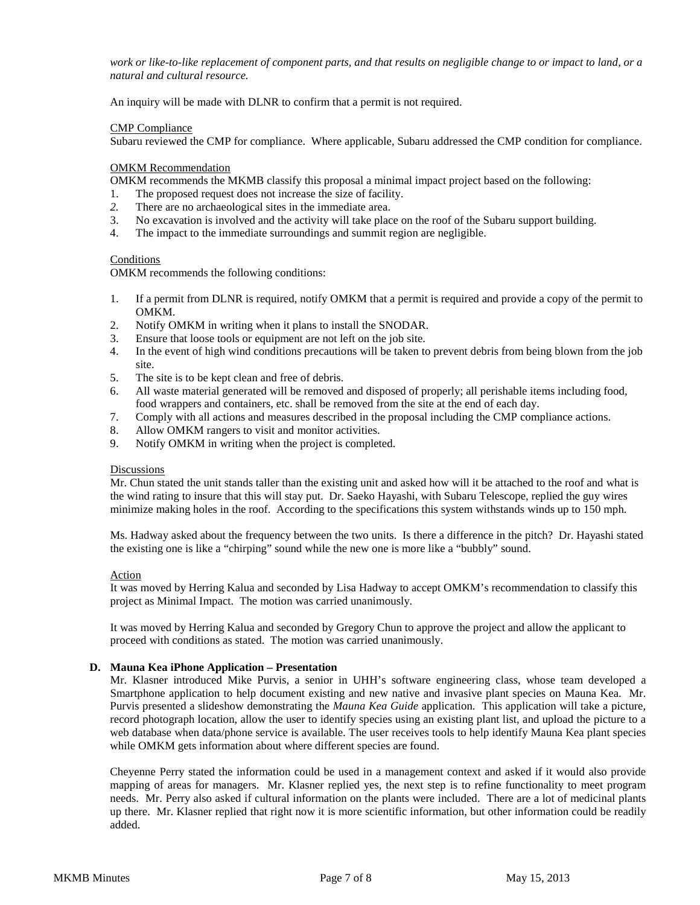*work or like-to-like replacement of component parts, and that results on negligible change to or impact to land, or a natural and cultural resource.*

An inquiry will be made with DLNR to confirm that a permit is not required.

#### CMP Compliance

Subaru reviewed the CMP for compliance. Where applicable, Subaru addressed the CMP condition for compliance.

#### OMKM Recommendation

OMKM recommends the MKMB classify this proposal a minimal impact project based on the following:

- 1. The proposed request does not increase the size of facility.
- *2.* There are no archaeological sites in the immediate area.
- 3. No excavation is involved and the activity will take place on the roof of the Subaru support building.
- 4. The impact to the immediate surroundings and summit region are negligible.

## **Conditions**

OMKM recommends the following conditions:

- 1. If a permit from DLNR is required, notify OMKM that a permit is required and provide a copy of the permit to OMKM.
- 2. Notify OMKM in writing when it plans to install the SNODAR.
- 3. Ensure that loose tools or equipment are not left on the job site.
- 4. In the event of high wind conditions precautions will be taken to prevent debris from being blown from the job site.
- 5. The site is to be kept clean and free of debris.
- 6. All waste material generated will be removed and disposed of properly; all perishable items including food, food wrappers and containers, etc. shall be removed from the site at the end of each day.
- 7. Comply with all actions and measures described in the proposal including the CMP compliance actions.
- 8. Allow OMKM rangers to visit and monitor activities.
- 9. Notify OMKM in writing when the project is completed.

#### **Discussions**

Mr. Chun stated the unit stands taller than the existing unit and asked how will it be attached to the roof and what is the wind rating to insure that this will stay put. Dr. Saeko Hayashi, with Subaru Telescope, replied the guy wires minimize making holes in the roof. According to the specifications this system withstands winds up to 150 mph.

Ms. Hadway asked about the frequency between the two units. Is there a difference in the pitch? Dr. Hayashi stated the existing one is like a "chirping" sound while the new one is more like a "bubbly" sound.

#### Action

It was moved by Herring Kalua and seconded by Lisa Hadway to accept OMKM's recommendation to classify this project as Minimal Impact. The motion was carried unanimously.

It was moved by Herring Kalua and seconded by Gregory Chun to approve the project and allow the applicant to proceed with conditions as stated. The motion was carried unanimously.

## **D. Mauna Kea iPhone Application – Presentation**

Mr. Klasner introduced Mike Purvis, a senior in UHH's software engineering class, whose team developed a Smartphone application to help document existing and new native and invasive plant species on Mauna Kea. Mr. Purvis presented a slideshow demonstrating the *Mauna Kea Guide* application. This application will take a picture, record photograph location, allow the user to identify species using an existing plant list, and upload the picture to a web database when data/phone service is available. The user receives tools to help identify Mauna Kea plant species while OMKM gets information about where different species are found.

Cheyenne Perry stated the information could be used in a management context and asked if it would also provide mapping of areas for managers. Mr. Klasner replied yes, the next step is to refine functionality to meet program needs. Mr. Perry also asked if cultural information on the plants were included. There are a lot of medicinal plants up there. Mr. Klasner replied that right now it is more scientific information, but other information could be readily added.